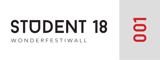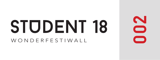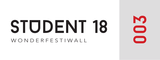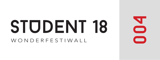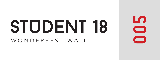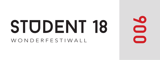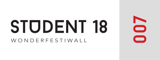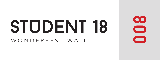

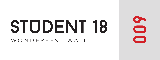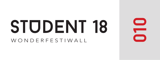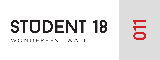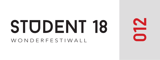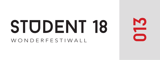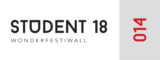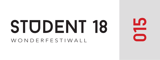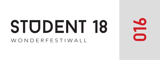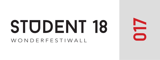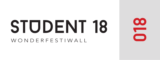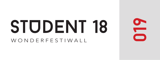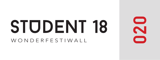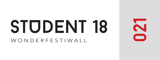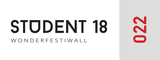

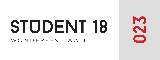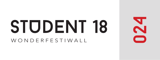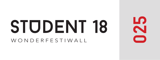

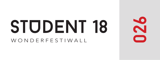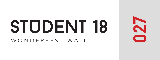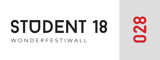

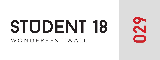

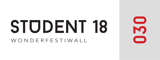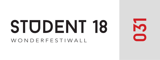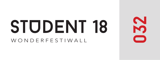

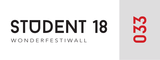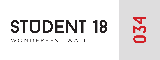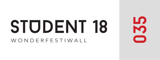

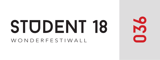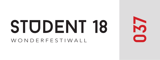

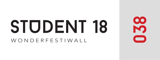

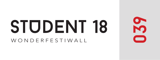

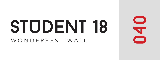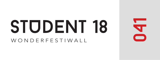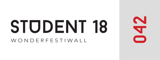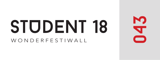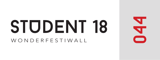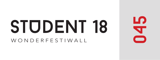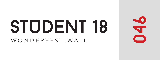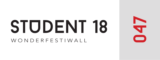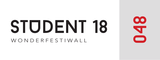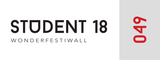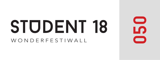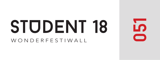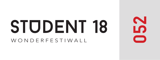

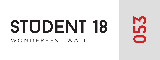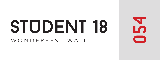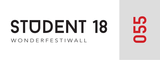

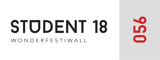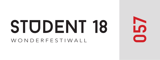

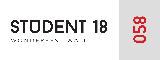

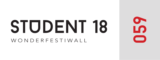

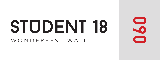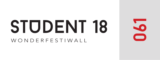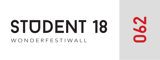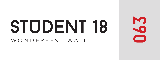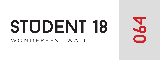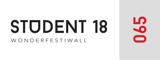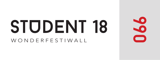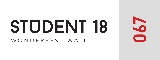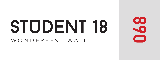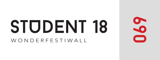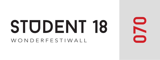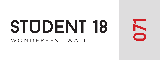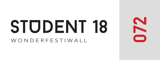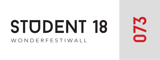

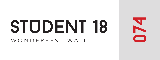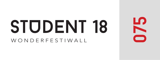

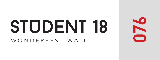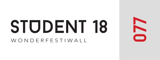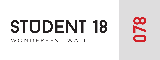

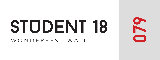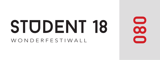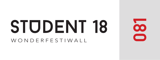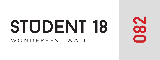

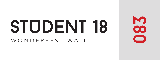

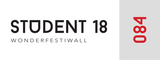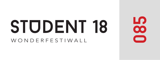

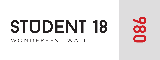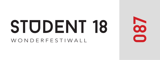

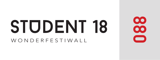

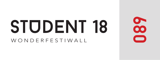

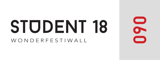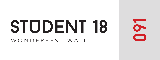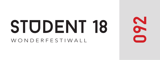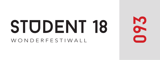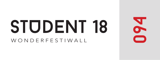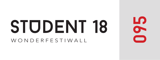

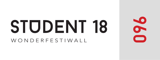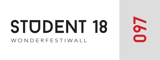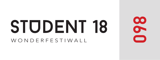

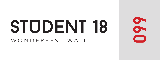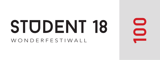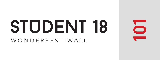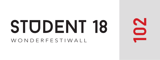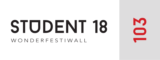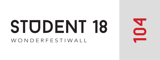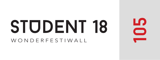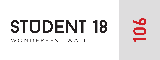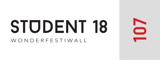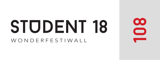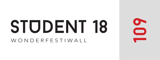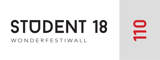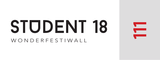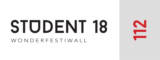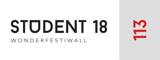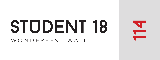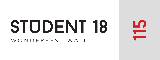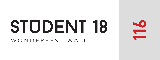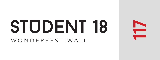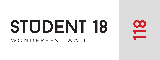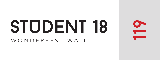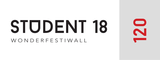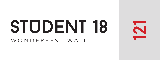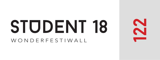

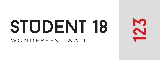

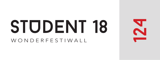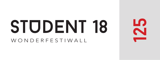

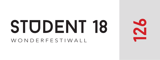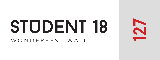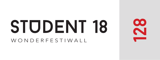

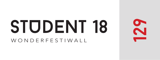

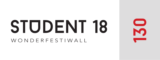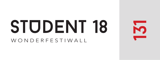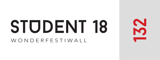

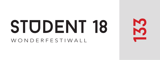

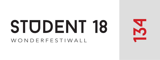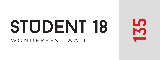

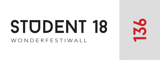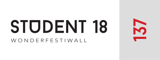

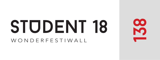

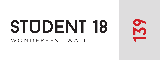

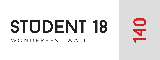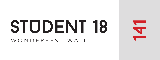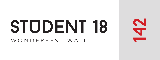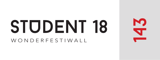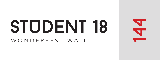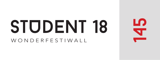

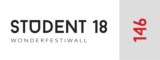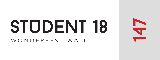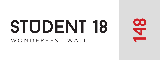

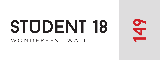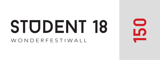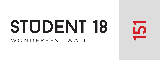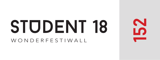

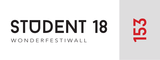

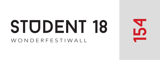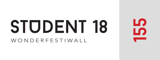

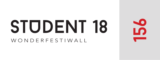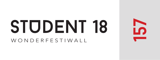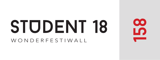

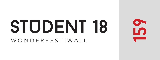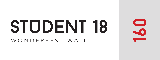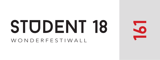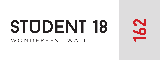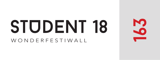## STODENT 18

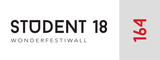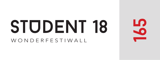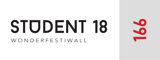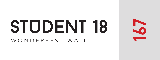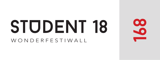

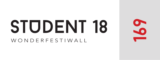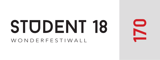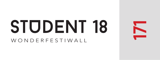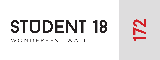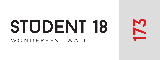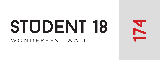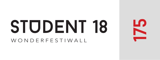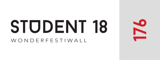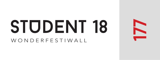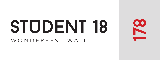

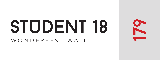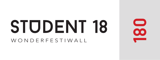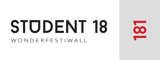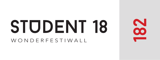

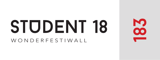

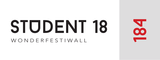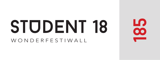

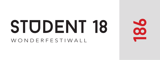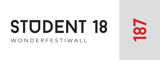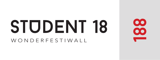

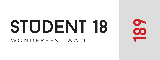

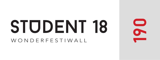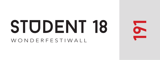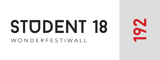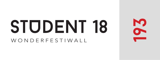

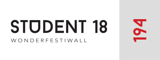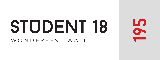

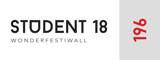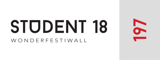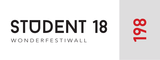

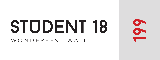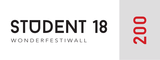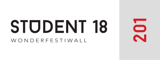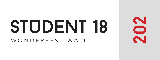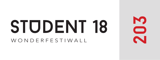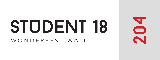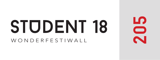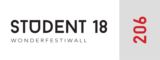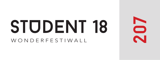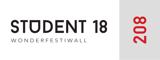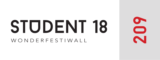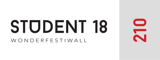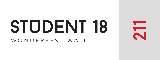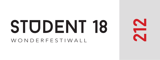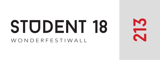

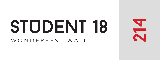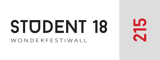

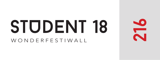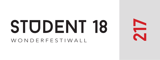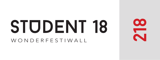

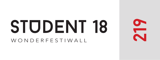### STUDENT 18

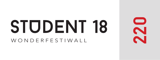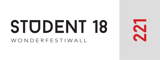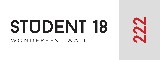

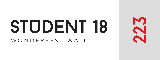

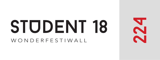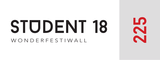

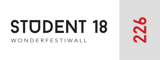

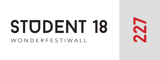

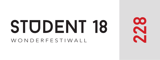

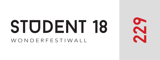

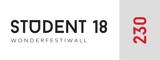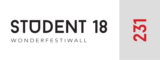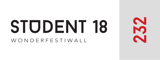

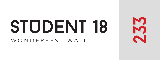

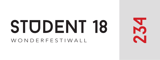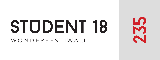

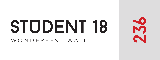### STUDENT 18

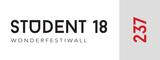

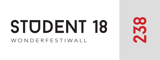

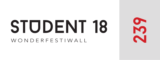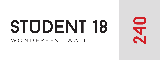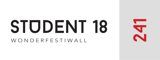### STUDENT 18

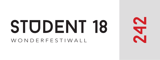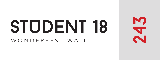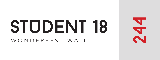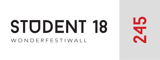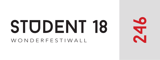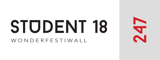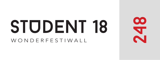

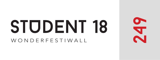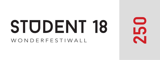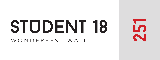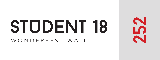

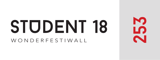

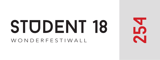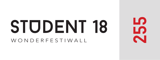

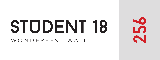

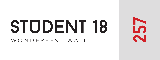

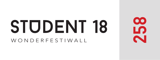

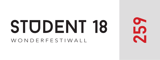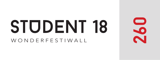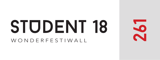# STUDENT 18

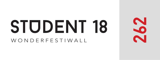

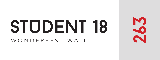

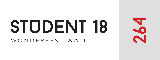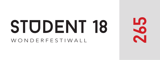

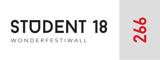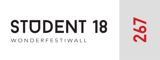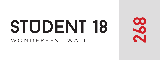

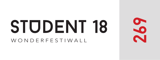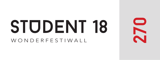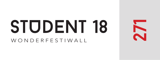## STUDENT 18

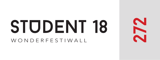

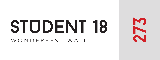

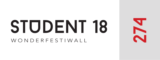## STUDENT 18

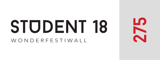

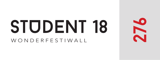## STUDENT 18

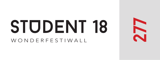

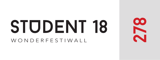

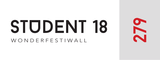

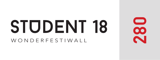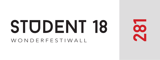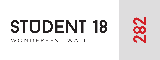

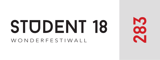

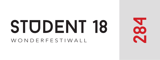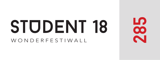

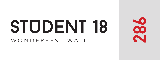

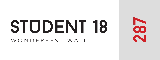

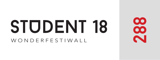

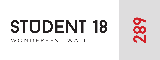

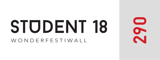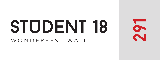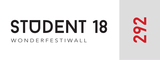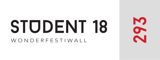

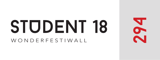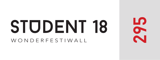

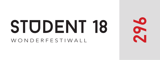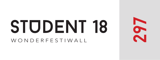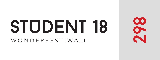

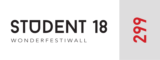